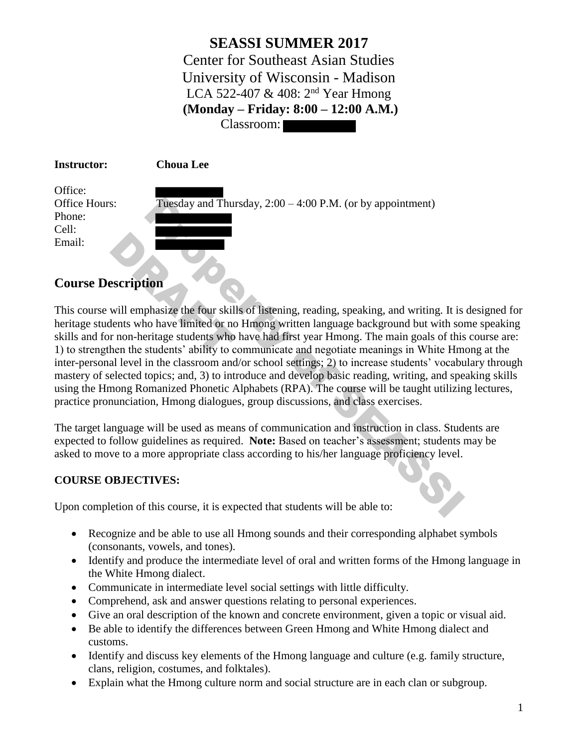**SEASSI SUMMER 2017** Center for Southeast Asian Studies University of Wisconsin - Madison LCA 522-407 & 408: 2<sup>nd</sup> Year Hmong **(Monday – Friday: 8:00 – 12:00 A.M.)** Classroom:

| <b>Instructor:</b>   | <b>Choua Lee</b>                                             |
|----------------------|--------------------------------------------------------------|
| Office:              |                                                              |
| <b>Office Hours:</b> | Tuesday and Thursday, $2:00 - 4:00$ P.M. (or by appointment) |
| Phone:               |                                                              |
| Cell:                |                                                              |
| Email:               |                                                              |

# **Course Description**

This course will emphasize the four skills of listening, reading, speaking, and writing. It is designed for heritage students who have limited or no Hmong written language background but with some speaking skills and for non-heritage students who have had first year Hmong. The main goals of this course are: 1) to strengthen the students' ability to communicate and negotiate meanings in White Hmong at the inter-personal level in the classroom and/or school settings; 2) to increase students' vocabulary through mastery of selected topics; and, 3) to introduce and develop basic reading, writing, and speaking skills using the Hmong Romanized Phonetic Alphabets (RPA). The course will be taught utilizing lectures, practice pronunciation, Hmong dialogues, group discussions, and class exercises. Tuesday and Thursday,  $2:00 - 4:00$  P.M. (or by appointment)<br> **ion**<br>
phasize the four skills of listening, reading, speaking, and writing. It is<br>
be have limited or no Hmong written language background but with so<br>
princip Examples<br>
Secription<br>
Will emphasize the four skill<br>
lents who have limited or not<br>
r non-heritage students who<br>
hen the students' ability to c

The target language will be used as means of communication and instruction in class. Students are expected to follow guidelines as required. **Note:** Based on teacher's assessment; students may be asked to move to a more appropriate class according to his/her language proficiency level.

## **COURSE OBJECTIVES:**

Upon completion of this course, it is expected that students will be able to:

- Recognize and be able to use all Hmong sounds and their corresponding alphabet symbols (consonants, vowels, and tones).
- Identify and produce the intermediate level of oral and written forms of the Hmong language in the White Hmong dialect.
- Communicate in intermediate level social settings with little difficulty.
- Comprehend, ask and answer questions relating to personal experiences.
- Give an oral description of the known and concrete environment, given a topic or visual aid.
- Be able to identify the differences between Green Hmong and White Hmong dialect and customs.
- Identify and discuss key elements of the Hmong language and culture (e.g. family structure, clans, religion, costumes, and folktales).
- Explain what the Hmong culture norm and social structure are in each clan or subgroup.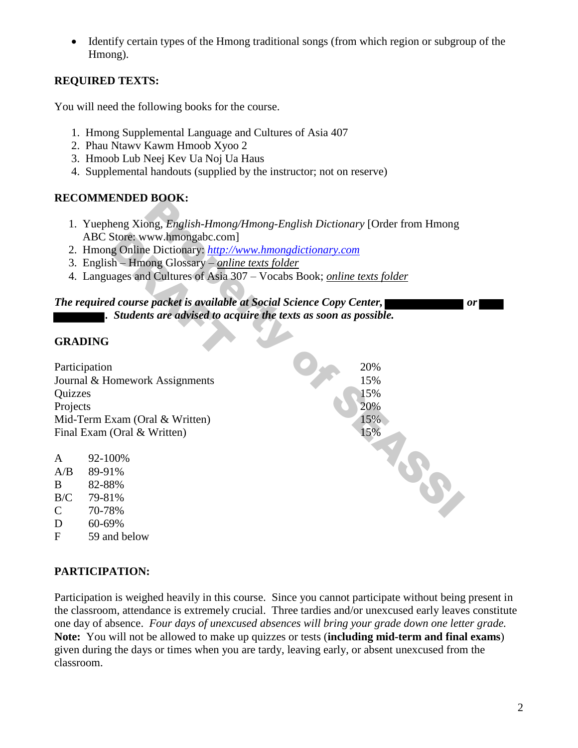Identify certain types of the Hmong traditional songs (from which region or subgroup of the Hmong).

## **REQUIRED TEXTS:**

You will need the following books for the course.

- 1. Hmong Supplemental Language and Cultures of Asia 407
- 2. Phau Ntawv Kawm Hmoob Xyoo 2
- 3. Hmoob Lub Neej Kev Ua Noj Ua Haus
- 4. Supplemental handouts (supplied by the instructor; not on reserve)

## **RECOMMENDED BOOK:**

- 1. Yuepheng Xiong, *English-Hmong/Hmong-English Dictionary* [Order from Hmong ABC Store: www.hmongabc.com]
- 2. Hmong Online Dictionary: *http://www.hmongdictionary.com*
- 3. English Hmong Glossary *online texts folder*
- 4. Languages and Cultures of Asia 307 Vocabs Book; *online texts folder*

# *The required course packet is available at Social Science Copy Center, compared to the compared or all or all or . Students are advised to acquire the texts as soon as possible.*  Store: www.hmongabc.com<br>lg Online Dictionary: <u>http://</u><br>hh – Hmong Glossary – <u>onli.</u><br>lages and Cultures of Asia 3<br>d course packet is available<br>Students are advised to ace

#### **GRADING**

| RECOMMENDED BOOK:                  |                                                                                                                                                                                                                                                                                                                          |  |
|------------------------------------|--------------------------------------------------------------------------------------------------------------------------------------------------------------------------------------------------------------------------------------------------------------------------------------------------------------------------|--|
|                                    | 1. Yuepheng Xiong, <i>English-Hmong/Hmong-English Dictionary</i> [Order from Hmong<br>ABC Store: www.hmongabc.com]<br>2. Hmong Online Dictionary: http://www.hmongdictionary.com<br>3. English - Hmong Glossary - online texts folder<br>4. Languages and Cultures of Asia 307 – Vocabs Book; <i>online texts folder</i> |  |
|                                    | The required course packet is available at Social Science Copy Center,                                                                                                                                                                                                                                                   |  |
|                                    | . Students are advised to acquire the texts as soon as possible.                                                                                                                                                                                                                                                         |  |
| <b>GRADING</b>                     |                                                                                                                                                                                                                                                                                                                          |  |
| Participation                      | 20%                                                                                                                                                                                                                                                                                                                      |  |
|                                    | 15%<br>Journal & Homework Assignments                                                                                                                                                                                                                                                                                    |  |
| Quizzes                            | 15%                                                                                                                                                                                                                                                                                                                      |  |
| Projects                           | 20%                                                                                                                                                                                                                                                                                                                      |  |
|                                    | 15%<br>Mid-Term Exam (Oral & Written)                                                                                                                                                                                                                                                                                    |  |
| 15%<br>Final Exam (Oral & Written) |                                                                                                                                                                                                                                                                                                                          |  |
|                                    |                                                                                                                                                                                                                                                                                                                          |  |
| A                                  | 92-100%                                                                                                                                                                                                                                                                                                                  |  |
| A/B                                | 89-91%                                                                                                                                                                                                                                                                                                                   |  |
| B                                  | 82-88%                                                                                                                                                                                                                                                                                                                   |  |
| B/C                                | SS<br>79-81%                                                                                                                                                                                                                                                                                                             |  |
| $\mathsf{C}$                       | 70-78%                                                                                                                                                                                                                                                                                                                   |  |
| D                                  | 60-69%                                                                                                                                                                                                                                                                                                                   |  |

## **PARTICIPATION:**

D 60-69% F 59 and below

Participation is weighed heavily in this course. Since you cannot participate without being present in the classroom, attendance is extremely crucial. Three tardies and/or unexcused early leaves constitute one day of absence. *Four days of unexcused absences will bring your grade down one letter grade.* **Note:** You will not be allowed to make up quizzes or tests (**including mid-term and final exams**) given during the days or times when you are tardy, leaving early, or absent unexcused from the classroom.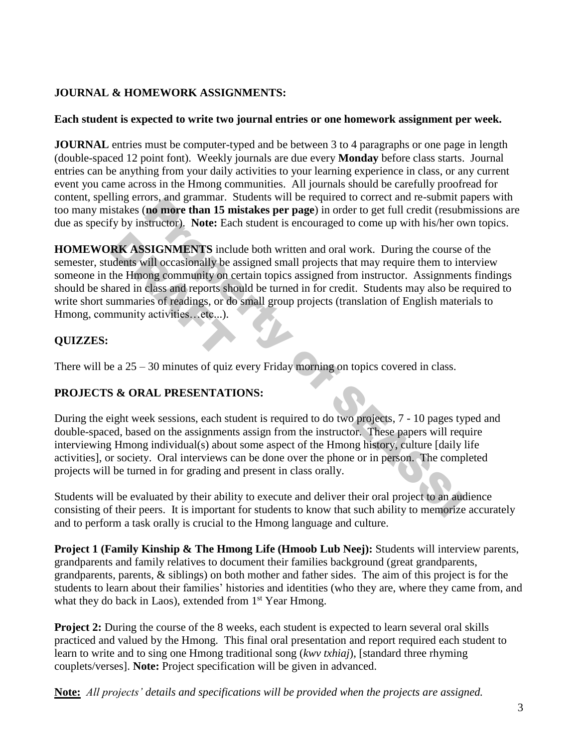## **JOURNAL & HOMEWORK ASSIGNMENTS:**

### **Each student is expected to write two journal entries or one homework assignment per week.**

**JOURNAL** entries must be computer-typed and be between 3 to 4 paragraphs or one page in length (double-spaced 12 point font). Weekly journals are due every **Monday** before class starts. Journal entries can be anything from your daily activities to your learning experience in class, or any current event you came across in the Hmong communities. All journals should be carefully proofread for content, spelling errors, and grammar. Students will be required to correct and re-submit papers with too many mistakes (**no more than 15 mistakes per page**) in order to get full credit (resubmissions are due as specify by instructor). **Note:** Each student is encouraged to come up with his/her own topics.

**HOMEWORK ASSIGNMENTS** include both written and oral work. During the course of the semester, students will occasionally be assigned small projects that may require them to interview someone in the Hmong community on certain topics assigned from instructor. Assignments findings should be shared in class and reports should be turned in for credit. Students may also be required to write short summaries of readings, or do small group projects (translation of English materials to Hmong, community activities...etc...). ors, and gammara. Soucests win to eigique to correct and ressumm poors, and gammara constant and the south of the south of the student is encouraged to come up with his/her on **SIGNMENTS** include both written and oral work **RK ASSIGNMENTS** includents will occasionally be a<br>the Hmong community on c<br>ared in class and reports shoummaries of readings, or do<br>nmunity activities...etc...).

## **QUIZZES:**

There will be a 25 – 30 minutes of quiz every Friday morning on topics covered in class.

# **PROJECTS & ORAL PRESENTATIONS:**

During the eight week sessions, each student is required to do two projects, 7 - 10 pages typed and double-spaced, based on the assignments assign from the instructor. These papers will require interviewing Hmong individual(s) about some aspect of the Hmong history, culture [daily life activities], or society. Oral interviews can be done over the phone or in person. The completed projects will be turned in for grading and present in class orally.

Students will be evaluated by their ability to execute and deliver their oral project to an audience consisting of their peers. It is important for students to know that such ability to memorize accurately and to perform a task orally is crucial to the Hmong language and culture.

**Project 1 (Family Kinship & The Hmong Life (Hmoob Lub Neej):** Students will interview parents, grandparents and family relatives to document their families background (great grandparents, grandparents, parents, & siblings) on both mother and father sides. The aim of this project is for the students to learn about their families' histories and identities (who they are, where they came from, and what they do back in Laos), extended from 1<sup>st</sup> Year Hmong.

**Project 2:** During the course of the 8 weeks, each student is expected to learn several oral skills practiced and valued by the Hmong. This final oral presentation and report required each student to learn to write and to sing one Hmong traditional song (*kwv txhiaj*), [standard three rhyming couplets/verses]. **Note:** Project specification will be given in advanced.

**Note:** *All projects' details and specifications will be provided when the projects are assigned.*